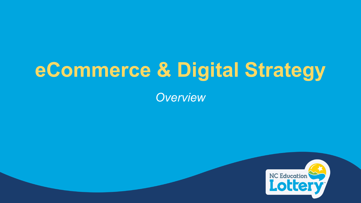# **eCommerce & Digital Strategy**

*Overview*

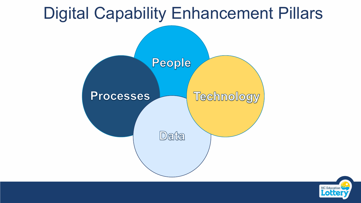# Digital Capability Enhancement Pillars



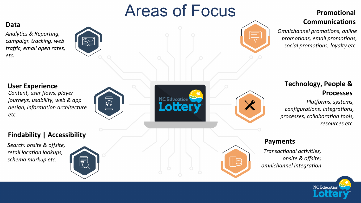# Areas of Focus

**NC Education** 

**Lotte** 

#### **Promotional Communications**

*Omnichannel promotions, online promotions, email promotions, social promotions, loyalty etc.* 

#### **Technology, People & Processes**

*Platforms, systems, configurations, integrations, processes, collaboration tools, resources etc.* 

#### **Payments**

*Transactional activities, onsite & offsite; omnichannel integration* 



#### **Data**

*Analytics & Reporting, campaign tracking, web traffic, email open rates, etc.*



#### **User Experience**

*Content, user flows, player journeys, usability, web & app design, information architecture etc.*





*Search: onsite & offsite, retail location lookups, schema markup etc.*

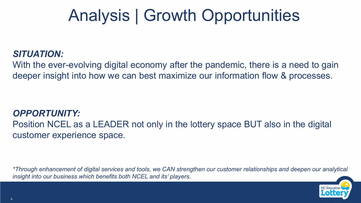# Analysis | Growth Opportunities

#### *SITUATION:*

With the ever-evolving digital economy after the pandemic, there is a need to gain deeper insight into how we can best maximize our information flow & processes.

#### *OPPORTUNITY:* Position NCEL as a LEADER not only in the lottery space BUT also in the digital customer experience space*.*

*\*Through enhancement of digital services and tools, we CAN strengthen our customer relationships and deepen our analytical insight into our business which benefits both NCEL and its' players.*

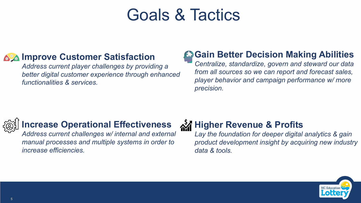# Goals & Tactics

#### **Age Improve Customer Satisfaction**

*Address current player challenges by providing a better digital customer experience through enhanced functionalities & services.*

#### **Gain Better Decision Making Abilities**

*Centralize, standardize, govern and steward our data from all sources so we can report and forecast sales, player behavior and campaign performance w/ more precision.*



#### **Increase Operational Effectiveness**

*Address current challenges w/ internal and external manual processes and multiple systems in order to increase efficiencies.*

#### **M** Higher Revenue & Profits

*Lay the foundation for deeper digital analytics & gain product development insight by acquiring new industry data & tools.*

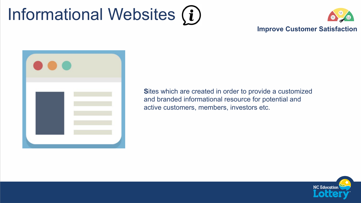# Informational Websites  $(i)$



#### **Improve Customer Satisfaction**



**S**ites which are created in order to provide a customized and branded informational resource for potential and active customers, members, investors etc.

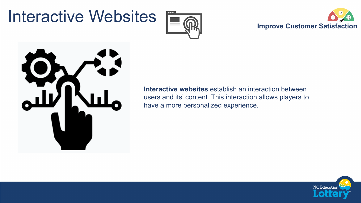# Interactive Websites







**Interactive websites** establish an interaction between users and its' content. This interaction allows players to have a more personalized experience.

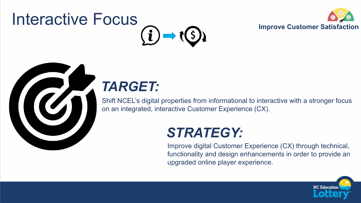# Interactive Focus





## *TARGET:*

Shift NCEL's digital properties from informational to interactive with a stronger focus on an integrated, interactive Customer Experience (CX).

## *STRATEGY:*

Improve digital Customer Experience (CX) through technical, functionality and design enhancements in order to provide an upgraded online player experience.

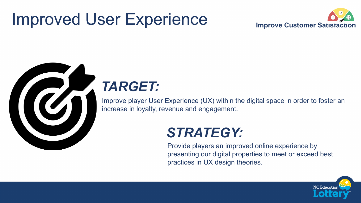## Improved User Experience





## *TARGET:*

Improve player User Experience (UX) within the digital space in order to foster an increase in loyalty, revenue and engagement.

### *STRATEGY:*

Provide players an improved online experience by presenting our digital properties to meet or exceed best practices in UX design theories.

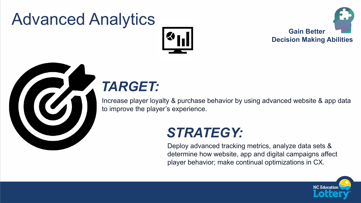# Advanced Analytics







## *TARGET:*

Increase player loyalty & purchase behavior by using advanced website & app data to improve the player's experience.

#### *STRATEGY:*

Deploy advanced tracking metrics, analyze data sets & determine how website, app and digital campaigns affect player behavior; make continual optimizations in CX.

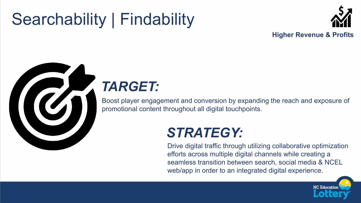# Searchability | Findability





## *TARGET:*

Boost player engagement and conversion by expanding the reach and exposure of promotional content throughout all digital touchpoints.

## *STRATEGY:*

Drive digital traffic through utilizing collaborative optimization efforts across multiple digital channels while creating a seamless transition between search, social media & NCEL web/app in order to an integrated digital experience.

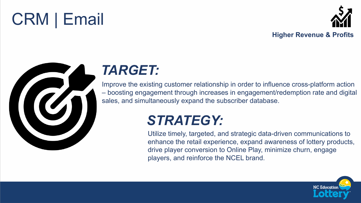# CRM | Email





## *TARGET:*

Improve the existing customer relationship in order to influence cross-platform action – boosting engagement through increases in engagement/redemption rate and digital sales, and simultaneously expand the subscriber database.

## *STRATEGY:*

Utilize timely, targeted, and strategic data-driven communications to enhance the retail experience, expand awareness of lottery products, drive player conversion to Online Play, minimize churn, engage players, and reinforce the NCEL brand.

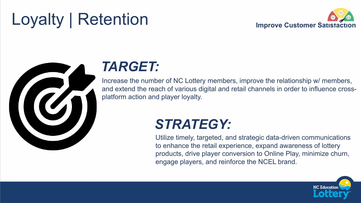# Loyalty | Retention





#### *TARGET:*

Increase the number of NC Lottery members, improve the relationship w/ members, and extend the reach of various digital and retail channels in order to influence crossplatform action and player loyalty.

## *STRATEGY:*

Utilize timely, targeted, and strategic data-driven communications to enhance the retail experience, expand awareness of lottery products, drive player conversion to Online Play, minimize churn, engage players, and reinforce the NCEL brand.

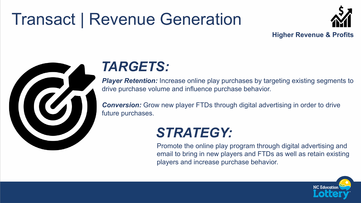# Transact | Revenue Generation





#### *TARGETS:*

*Player Retention:* Increase online play purchases by targeting existing segments to drive purchase volume and influence purchase behavior.

**Conversion:** Grow new player FTDs through digital advertising in order to drive future purchases.

## *STRATEGY:*

Promote the online play program through digital advertising and email to bring in new players and FTDs as well as retain existing players and increase purchase behavior.

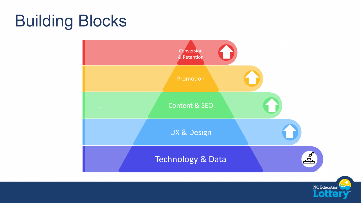# Building Blocks



**NC Education** 

**Lott**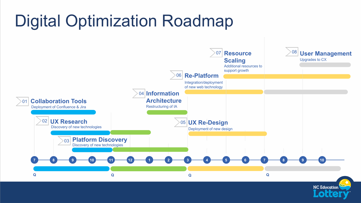# Digital Optimization Roadmap



**NC Education**